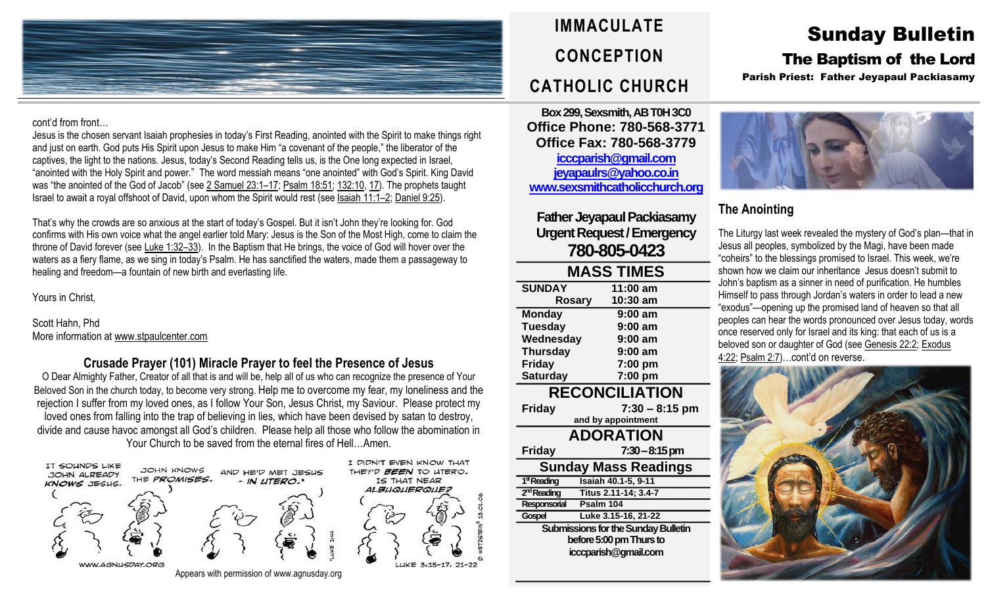

cont'd from front…

Jesus is the chosen servant Isaiah prophesies in today's First Reading, anointed with the Spirit to make things right and just on earth. God puts His Spirit upon Jesus to make Him "a covenant of the people," the liberator of the captives, the light to the nations. Jesus, today's Second Reading tells us, is the One long expected in Israel, "anointed with the Holy Spirit and power." The word messiah means "one anointed" with God's Spirit. King David was "the anointed of the God of Jacob" (see 2 [Samuel](https://biblia.com/bible/rsvce/2%20Sam%2023.1%E2%80%9317) 23:1–17; [Psalm](https://biblia.com/bible/rsvce/Ps%2018.51) 18:51; [132:10,](https://biblia.com/bible/rsvce/Psalm%20132.10) [17\)](https://biblia.com/bible/rsvce/Psalm%20132.17). The prophets taught Israel to await a royal offshoot of David, upon whom the Spirit would rest (see [Isaiah](https://biblia.com/bible/rsvce/Isa%2011.1%E2%80%932) 11:1–2; [Daniel](https://biblia.com/bible/rsvce/Dan%209.25) 9:25).

That's why the crowds are so anxious at the start of today's Gospel. But it isn't John they're looking for. God confirms with His own voice what the angel earlier told Mary: Jesus is the Son of the Most High, come to claim the throne of David forever (see [Luke](https://biblia.com/bible/rsvce/Luke%201.32%E2%80%9333) 1:32-33). In the Baptism that He brings, the voice of God will hover over the waters as a fiery flame, as we sing in today's Psalm. He has sanctified the waters, made them a passageway to healing and freedom—a fountain of new birth and everlasting life.

Yours in Christ,

Scott Hahn, Phd More information at [www.stpaulcenter.com](http://www.stpaulcenter.com/)

## **Crusade Prayer (101) Miracle Prayer to feel the Presence of Jesus**

O Dear Almighty Father, Creator of all that is and will be, help all of us who can recognize the presence of Your Beloved Son in the church today, to become very strong. Help me to overcome my fear, my loneliness and the rejection I suffer from my loved ones, as I follow Your Son, Jesus Christ, my Saviour. Please protect my loved ones from falling into the trap of believing in lies, which have been devised by satan to destroy, divide and cause havoc amongst all God's children. Please help all those who follow the abomination in Your Church to be saved from the eternal fires of Hell…Amen.



Appears with permission of www.agnusday.org



**Box 299, Sexsmith, AB T0H 3C0 Office Phone: 780-568-3771 Office Fax: 780-568-3779 [icccparish@gmail.com](mailto:icccparish@gmail.com) [jeyapaulrs@yahoo.co.in](mailto:jeyapaulrs@yahoo.co.in) [www.sexsmithcatholicchurch.org](http://www.sexsmithcatholicchurch.org/)**

**Father Jeyapaul Packiasamy Urgent Request/Emergency 780-805-0423**

# **MASS TIMES SUNDAY 11:00 am Rosary 10:30 am**

**Monday 9:00 am Tuesday 9:00 am Wednesday 9:00 am Thursday 9:00 am Friday 7:00 pm Saturday 7:00 pm RECONCILIATION Friday 7:30 – 8:15 pm and by appointment ADORATION Friday 7:30–8:15 pm Sunday Mass Readings** 1<sup>st</sup> Reading **stReading Isaiah 40.1-5, 9-11** 2<sup>nd</sup> Reading **ndReading Titus 2.11-14; 3.4-7 Responsorial Psalm 104 Gospel Luke 3.15-16, 21-22 Submissions for the Sunday Bulletin before 5:00 pm Thursto icccparish@gmail.com**

Sunday Bulletin

# The Baptism of the Lord

Parish Priest: Father Jeyapaul Packiasamy



## **The Anointing**

The Liturgy last week revealed the mystery of God's plan—that in Jesus all peoples, symbolized by the Magi, have been made "coheirs" to the blessings promised to Israel. This week, we're shown how we claim our inheritance Jesus doesn't submit to John's baptism as a sinner in need of purification. He humbles Himself to pass through Jordan's waters in order to lead a new "exodus"—opening up the promised land of heaven so that all peoples can hear the words pronounced over Jesus today, words once reserved only for Israel and its king: that each of us is a beloved son or daughter of God (see [Genesis](https://biblia.com/bible/rsvce/Gen%2022.2) 22:2; [Exodus](https://biblia.com/bible/rsvce/Exod%204.22) [4:22;](https://biblia.com/bible/rsvce/Exod%204.22) [Psalm](https://biblia.com/bible/rsvce/Ps%202.7) 2:7)…cont'd on reverse.